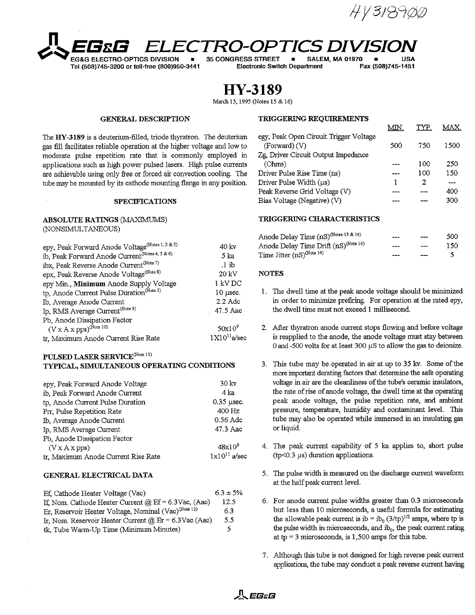HV 31898



**Tel (508)745-3200 or toll-free (800)950-3441 Electronic Switch Department Fax (508)745-1451**

**EG-OPTICS DIVISION \* 35 CONGRESS STREET \* SALEM, MA 01970 \* USA**<br>1900 or toll-free (800)950-3441 Fiectronic Switch Department Fax (508)745-1451

**HY-3189**

March 15, 1995 (Notes 15 & 16)

The HY-3189 is a deuterium-filled, triode thyratron. The deuterium gas fill facilitates reliable operation at the higher voltage and low to moderate pulse repetition rate that is commonly employed in applications such as high power pulsed lasers. High pulse currents are achievable using only free or forced air convection cooling. The tube may be mounted by its cathode mounting flange in any position.

## SPECIFICATIONS

# (NONSIMULTANEOUS)

| epy, Peak Forward Anode Voltage <sup>(Notes 1, 2 &amp; 3)</sup> | 40 kv            | Anode Delay Tim           |  |
|-----------------------------------------------------------------|------------------|---------------------------|--|
| ib, Peak Forward Anode Current <sup>(Notes 4, 5 &amp; 6)</sup>  | 5 ka             | Time Jitter $(nS)^{(Nc)}$ |  |
| ibx, Peak Reverse Anode Current <sup>(Note 7)</sup>             | $\cdot$ 1 ib     |                           |  |
| epx, Peak Reverse Anode Voltage(Note 8)                         | 20 kV            | <b>NOTES</b>              |  |
| epy Min., Minimum Anode Supply Voltage                          | 1 kV DC          |                           |  |
| tp, Anode Current Pulse Duration <sup>(Note 5)</sup>            | $10$ usec.       | 1. The dwell tir          |  |
| Ib, Average Anode Current                                       | $2.2$ Adc        | in order to r             |  |
| Ip, RMS Average Current <sup>(Note 9)</sup>                     | 47.5 Aac         | the dwell tim             |  |
| Pb, Anode Dissipation Factor                                    |                  |                           |  |
| $(V \times A \times pps)^{(Note 10)}$                           | $50x10^9$        | 2. After thyratre         |  |
| tr. Maximum Anode Current Rise Rate                             | $1X10^{11}a/sec$ | is reapplied t            |  |

## $\mathbf{PULSED}\text{ LASER}\text{ SERVICE}^{\text{(Note 11)}}$

| epy, Peak Forward Anode Voltage    | 30 <sub>ky</sub>  | voltage in    |
|------------------------------------|-------------------|---------------|
| ib, Peak Forward Anode Current     | 4 ka              | the rate o    |
| tp, Anode Current Pulse Duration   | $0.35$ µsec.      | peak an       |
| Prr, Pulse Repetition Rate         | 400 Hz            | pressure,     |
| Ib, Average Anode Current          | $0.56$ Adc        | tube may      |
| Ip, RMS Average Current            | 47.3 Aac          | or liquid.    |
| Pb, Anode Dissipation Factor       |                   |               |
| (V X A X p p s)                    | $48x10^9$         | 4. The peal   |
| tr Maximum Anode Current Rise Rate | $1x10^{11}$ a/sec | $(tp<0.3 \mu$ |

| Ef. Cathode Heater Voltage (Vac)                                 | $6.3 \pm 5\%$ |
|------------------------------------------------------------------|---------------|
| If, Nom. Cathode Heater Current $@$ Ef = 6.3Vac, (Aac)           | 12.5          |
| Er, Reservoir Heater Voltage, Nominal (Vac) <sup>(Note 12)</sup> | 63            |
| Ir, Nom. Reservoir Heater Current @ Er = 6.3Vac (Aac)            | 5.5           |
| tk, Tube Warm-Up Time (Minimum Minutes)                          | 5.            |

## GENERAL DESCRIPTION **TRIGGERING REQUIREMENTS**

|                                                         | MM  | TYP | <b>AAY</b> |
|---------------------------------------------------------|-----|-----|------------|
| egy, Peak Open Circuit Trigger Voltage<br>(Forward) (V) | 500 | 750 | 1500       |
| Zg, Driver Circuit Output Impedance<br>(Ohms)           |     | 100 | 250        |
| Driver Pulse Rise Time (ns)                             |     | 100 | 150        |
| Driver Pulse Width $(\mu s)$                            |     | 2   |            |
| Peak Reverse Grid Voltage (V)                           |     |     | 400        |
| Bias Voltage (Negative) (V)                             |     |     | 300        |
|                                                         |     |     |            |

## **ABSOLUTE RATINGS (MAXIMUMS) TRIGGERING** CHARACTERISTICS

|               |                    | Anode Delay Time (nS) <sup>(Notes 13 &amp; 14)</sup> | $- - -$ | $\qquad \qquad \qquad \qquad \qquad \qquad$ | 500 |
|---------------|--------------------|------------------------------------------------------|---------|---------------------------------------------|-----|
| tes 1, 2 & 3) | $40 \,\mathrm{kv}$ | Anode Delay Time Drift (nS) <sup>(Note 14)</sup>     | $---$   | $- - -$                                     | 150 |
| :4.5&6)       | 5 ka               | Time Jitter $(nS)^{(Note 14)}$                       | $---$   | $- - -$                                     | .5. |

### NOTES

- 1. The dwell time at the peak anode voltage should be minimized. in order to minimize prefiring. For operation at the rated epy, the dwell time must not exceed 1 millisecond.
- 2. After thyratron anode current stops flowing and before voltage is reapplied to the anode, the anode voltage must stay between 0 and -500 volts for at least 300  $\mu$ S to allow the gas to deionize.
- TYPICAL, SIMULTANEOUS **OPERATING CONDITIONS** 3. This tube may be operated in air at up to 35 kv. Some of the more important derating factors that determine the safe operating voltage in air are the cleanliness of the tube's ceramic insulators, the rate of rise of anode voltage, the dwell time at the operating peak anode voltage, the pulse repetition rate, and ambient pressure, temperature, humidity and contaminant level. This tube may also be operated while immersed in an insulating gas or liquid.
	- 4. The peak current capability of 5 ka applies to, short pulse  $(tp<0.3 \mu s)$  duration applications.
- **GENERAL ELECTRICAL DATA** 5. The pulse width is measured on the discharge current waveform at the half peak current level.
	- 6. For anode current pulse widths greater than 0.3 microseconds but less than 10 microseconds, a useful formula for estimating the allowable peak current is ib = ib<sub>0</sub> (3/tp)<sup>1/2</sup> amps, where tp is the pulse width in microseconds, and  $ib_0$ , the peak current rating at  $tp = 3$  microseconds, is  $1,500$  amps for this tube.
	- 7. Although this tube is not designed for high reverse peak current applications, the tube may conduct a peak reverse current having

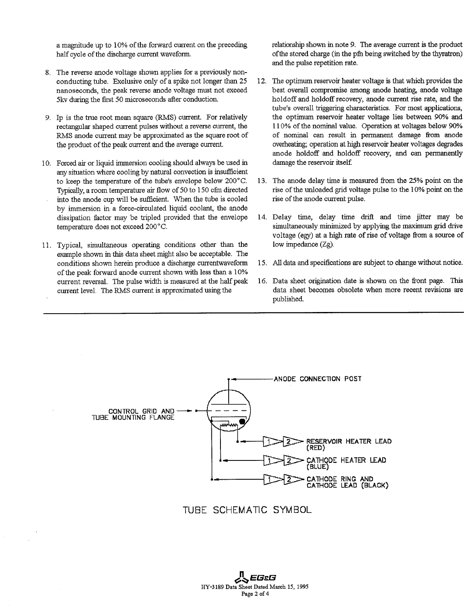half cycle of the discharge current waveform. of the stored charge (in the pfn being switched by the thyratron)

- 8. The reverse anode voltage shown applies for a previously nonnanoseconds, the peak reverse anode voltage must not exceed 5kv during the first 50 microseconds after conduction.
- 
- 10. Forced air or liquid immersion cooling should always be used in damage the reservoir itself. any situation where cooling by natural convection is insufficient Typically, a room temperature air flow of 50 to 150 cfm directed into the anode cup will be sufficient. When the tube is cooled rise of the anode current pulse. by immersion in a force-circulated liquid coolant, the anode
- 11. Typical, simultaneous operating conditions other than the low impedance (Zg). example shown in this data sheet might also be acceptable. The of the peak forward anode current shown with less than a 10%

a magnitude up to 10% of the forward current on the preceding relationship shown in note 9. The average current is the product and the pulse repetition rate.

- conducting tube. Exclusive only of a spike not longer than 25 12. The optimum reservoir heater voltage is that which provides the nanoseconds, the peak reverse anode voltage must not exceed best overall compromise among an holdoff and holdoff recovery, anode current rise rate, and the tube's overall triggering characteristics. For most applications, 9. Ip is the true root mean square (RMS) current. For relatively the optimum reservoir heater voltage lies between 90% and rectangular shaped current pulses without a reverse current, the 110% of the nominal value. Operation at voltages. below 90% RMS anode current may be approximated as the square root of of nominal can result in permanent damage from anode the product of the peak current and the average current. overheating; operation at high reservoir heater voltages degrades anode holdoff and holdoff recovery, and can permanently
	- to keep the temperature of the tube's envelope below 200°C. 13. The anode delay time is measured from the 25% point on the Typically, a room temperature air flow of 50 to 150 cfm directed rise of the unloaded grid voltage
	- dissipation factor may be tripled provided that the envelope 14. Delay time, delay time drift and time jitter may be temperature does not exceed 200°C. simultaneously minimized by applying the maximum grid drive voltage (egy) at a high rate of rise of voltage from a source of
	- conditions shown herein produce a discharge currentwaveform 15. All data and specifications are subject to change without notice.
	- current reversal. The pulse width is measured at the half peak 16. Data sheet origination date is shown on the front page. This current level. The RMS current is approximated using the data sheet becomes obsolete when more recent revisions are published.



TUBE SCHEMATIC SYMBOL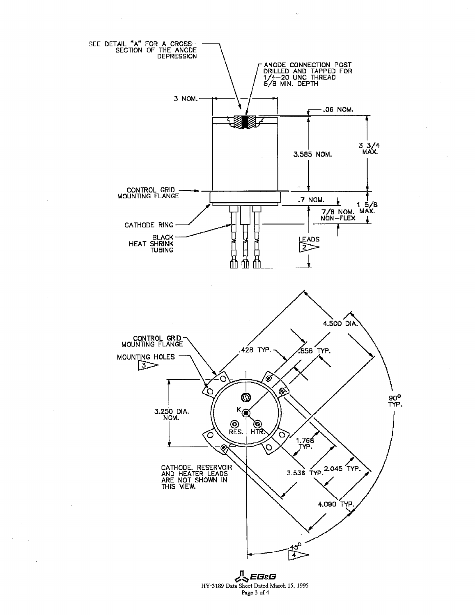

 $\mathcal{L}_{\mathcal{A}}$